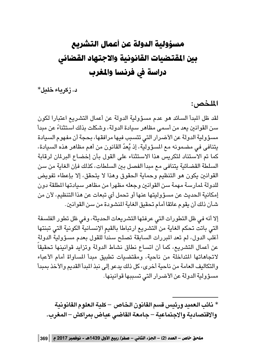# مسؤولية الدولة عن أعمال التشريع بين المقتضيات القانونية والاجتهاد القضائي دراسة في فرنسا والمغرب

د. زكرياء خليل\*

الملخص:

لقد ظل المبدأ السائد هو عدم مسؤولية الدولة عن أعمال التشريع اعتبارا لكون سن القوانين يعد من أسمى مظاهر سيادة الدولة، وشكلت بذلك استثناءً عن مبدأ مسؤولية الدولة عن الأضرار التي تتسبب فيها مرافقها، بحجة أن مفهوم السيادة يتنافى في مضمونه مع المسؤولية، إذ يُعدّ القانون من أهم مظاهر هذه السيادة، كما تم الاستناد لتكريس هذا الاستثناء على القول بأن إخضاع البرلمان لرقابة السلطة القضائية يتنافى مع مبدأ الفصل بين السلطات، كذلك فإن الغاية من سن القوانين يكون هو التنظيم وحماية الحقوق وهذا لا يتحقق، إلا بإعطاء تفويض للدولة لمارسة مهمة سن القوانين وجعله مظهرا من مظاهر سيادتها المطلقة دون إمكانية الحديث عن مسؤوليتها عنها أو تحمل أي تبعات عن هذا التنظيم، لأن من شأن ذلك أن يقوم عائقا أمام تحقيق الغاية المنشودة من سن القوانين.

إلا أنه في ظل التطورات التي عرفتها التشريعات الحديثة، وفي ظل تطور الفلسفة التي باتت تحكم الغاية من التشريع ارتباطا بالقيم الإنسانية الكونية التي تبنتها أغلب الدول، لم تعد المبررات السابقة تصلح سنداً للقول بعدم مسؤولية الدولة عن أعمال التشريع، كما أن اتساع نطاق نشاط الدولة وتزايد قوانينها تحقيقاً لاتجاهاتها المتداخلة من ناحية، ومقتضيات تطبيق مبدأ المساواة أمام الأعباء والتكاليف العامة من ناحية أخرى، كل ذلك يدعو إلى نبذ المبدأ القديم والأخذ بمبدأ مسؤولية الدولة عن الأضرار التي تسببها قوانينها.

\* نائب العميد ورئيس قسم القانون الخاص – كلية العلوم القانونية والاقتصادية والاجتماعية – جامعة القاضى عياض بمراكش – المغرب.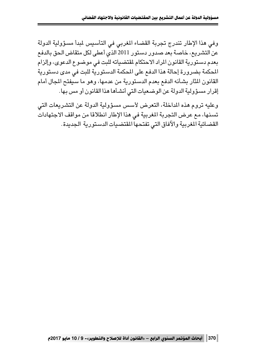وفي هذا الإطار تندرج تجربة القضاء المغربي في التأسيس لمبدأ مسؤولية الدولة عن التشريع، خاصة بعد صدور دستور 2011 الذي أعطى لكل متقاض الحق بالدفع بعدم دستورية القانون المراد الاحتكام لمقتضياته للبت في موضوع الدعوى، وإلزام المحكمة بضرورة إحالة هذا الدفع على المحكمة الدستورية للبت في مدى دستورية القانون المثار بشأنه الدفع بعدم الدستورية من عدمها، وهو ما سيفتح المجال أمام إقرار مسؤولية الدولة عن الوضعيات التي أنشأها هذا القانون أو مس بها.

وعليه تروم هذه المداخلة، التعرض لأسس مسؤولية الدولة عن التشريعات التي تسنها، مع عرض التجربة المغربية في هذا الإطار انطلاقا من مواقف الاجتهادات القضائية المغربية والآفاق التي تفتحها المقتضيات الدستورية الجديدة.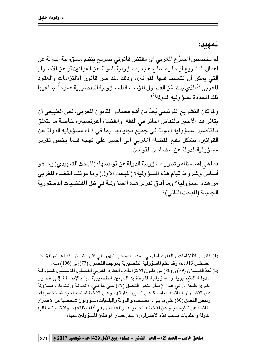تمهيد:

لم يخصص المشرِّع المغربي أي مقتض قانوني صريح ينظم مسؤولية الدولة عن أعمال التشريع أو ما يصطلح عليه بمسؤولية الدولة عن القوانين أو عن الأضرار التي يمكن أن تتسبب فيها القوانين، وذلك منذ سن قانون الالتزامات والعقود المغربي<sup>(1)</sup> الذي يتضمَّن الفصول المؤسسة للمسؤولية التقصيرية عموماً، بما فيها تلك المحددة لمسؤ ولية الدولة<sup>(2)</sup>.

ولما كان التشريع الفرنسي يُعدّ من أهم مصادر القانون المغربي، فمن الطبيعي أن يتأثر هذا الأخير بالنقاش الدائر في الفقه والقضاء الفرنسيين، خاصة ما يتعلق بالتأصيل لمسؤولية الدولة فى جميع تجلياتها، بما فى ذلك مسؤولية الدولة عن القوانين، بشكل دفع القضاء المغربي إلى السير على نهجه فيما يخص تقرير مسؤولية الدولة عن مضامين القوانين.

فما هي أهم مظاهر تطور مسؤولية الدولة عن قوانينها؟ (المبحث التمهيدي) وما هو أساس وشروط قيام هذه المسؤولية؟ (المبحث الأول) وما موقف القضاء المغربي من هذه المسؤولية؟ وما آفاق تقرير هذه المسؤولية في ظل المقتضيات الدستورية الجديدة (المبحث الثاني)؟

- (1) قانون الالتزامات والعقود المغربي صدر بموجب ظهير في 9 رمضان 1331هـ الموافق 12 أغسطس 1913م، وقد نظم المسؤولية التقصيرية بموجب الفصول (77) إلى (106) منه.
- (2) يُعدّ الفصـلان (79) و (80) من قانون الالتزامات والعقود المغربي الفصلين المؤسسـين لمسؤولية الدولة التقصيرية ومسؤولية الموظفين التابعين التقصيرية لها بالإضافة إلى فصول أخرى طبعاً، و في هذا الإطار ينص الفصل (79) على ما يلي: «الدولة والبلديات مسؤولة عن الأضــرار الناتّجة مباشرة عن تسبير إدارتـهـا وعن الأخـطـاء المـلـحية لمستخدميها». وينص الفصل (80) على ما يلي: «مستخدمو الدولة والبلديات مسؤولون شخصيا عن الأضرار الناتجة عن تدليسهم أو عن الأخطاء الجسيمة الواقعة منهم في أداء وظائفهم. ولا تجوز مطالبة الدولة والبلديات بسبب هذه الأضرار ، إلا عند إعسار الموظفين المسؤولين عنها».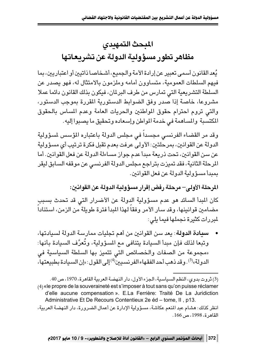## المبحث التمهيدى مظاهر تطور مسؤولية الدولة عن تشريعاتها

يُعد القانون أسمى تعبير عن إرادة الأمة والجميع، أشخاصا ذاتيين أو اعتباريين، بما فيهم السلطات العمومية، متساوون أمامه وملزمون بالامتثال له، فهو يصدر عن السلطة التشريعية التي تمارس من طرف البرلمان، فيكون بذلك القانون دائما عملا مشروعا، خاصة إذا صدر وفق الضوابط الدستورية المقررة بموجب الدستور، والتي تروم احترام حقوق المواطنين والحريات العامة وعدم المساس بالحقوق المكتسبة والمساهمة في خدمة المواطن وإسعاده وتحقيق ما يصبوا إليه.

وقد مر القضاء الفرنسى مجسداً فى مجلس الدولة باعتباره المؤسس لمسؤولية الدولة عن القوانين، بمرحَلتين: الأولى عرفت بعدم تقبل فكرة ترتيب أي مسؤولية عن سن القوانين، تحت ذريعة مبدأ عدم جواز مساءلة الدولة عن فعل القوانين. أما المرحلة الثانية، فقد تميزت بتراجع مجلس الدولة الفرنسي عن موقفه السابق ليقر بمبدأ مسؤولية الدولة عن فعل القوانين.

المرحلة الأولى– مرحلة رفض إقرار مسؤولدة الدولة عن القوانىن: كان المبدأ السائد هو عدم مسؤولية الدولة عن الأضرار التي قد تحدث بسبب مضامين قوانينها، وقد سار الأمر وفقا لهذا المبدأ فترة طويلة من الزمن، استنادا لمبررات كثيرة نجملها فيما يلي:

**سيادة الدولة**: يعد سن القوانين من أهم تجليات ممارسة الدولة لسيادتها، وتبعا لذلك فإن مبدأ السيادة يتنافى مع المسؤولية، وتُعرَّف السيادة بأنها: «مجموعة من الصفات والخصائص التي تتميز بها السلطة السياسية في الدولة»<sup>(3)</sup>. وقد ذهب أحد الفقهاء الفرنسيين<sup>(4)</sup>إلى القول: «إن السيادة بطبيعتها،

│ 372 │ أبحاث المؤتمر السنوى الرابع – «القانون أداة للإصلاح والتطوير»- 9 / 10 مايو 2017م

<sup>(3)</sup> ثروت بدوي، النظم السياسية، الجزء الأول، دار النهضة العربية القاهرة، 1970، ص 40. (4) «le propre de la souveraineté est s'imposer à tout sans qu'on puisse réclamer d'elle aucune compensation ». E.La Ferrière: Traité De La Juridiction Administrative Et De Recours Contentieux 2e éd - tome, II, p13.

انظر كذلك: هشام عبد المنعم عكاشة، مسؤولية الإدارة عن أعمال الضرورة، دار النهضة العربية، القاهر ة، 1998، ص 166.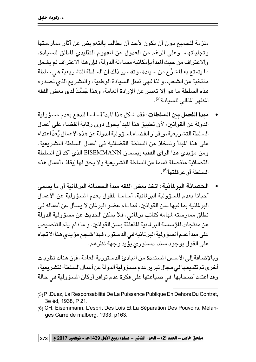ملزمة للحميع دون أن يكون لأحد أن يطالب بالتعويض عن آثار ممارستها وتحلياتها». وعلى الرغم من العدول عن المفهوم التقليدي المطلق للسيادة، و الاعتر إف من حيث المدأ بإمكانية مساءلة الدولة، فإن هذا الاعتر إف لم يشمل ما يتمتع به المشرِّع من سيادة، وتفسير ذلك أن السلطة التشريعية هي سلطة منتخبة من الشعب، ولذا فهي تمثل السيادة الوطنية، والتشريع الذي تصدره هذه السلطة ما هو إلا تعبير عن الإرادة العامة، وهذا جَسَّدَ لدى بعض الفقه المظهر المثالي للسيادة<sup>(5)</sup>.

- مدراً الغصل دين السلطات: فقد شكل هذا المدأ أساسا للدفع بعدم مسؤولية الدولة عن القوانين، لأن تطبيق هذا المبدأ يحول دون رقابة القضاء على أعمال السلطة التشريعية، وإقرار القضاء لمسؤولية الدولة عن هذه الأعمال يُعدّ اعتداء على هذا المبدأ وتدخلا من السلطة القضائية في أعمال السلطة التشريعية. ومن مؤيدي هذا الرأي الفقيه إيسمان EISEMMANN الذي أكد أن السلطة القضائية منفصلة تماما عن السلطة التشريعية ولا يحق لها إيقاف أعمال هذه السلطة أو عر قلتها<sup>(6)</sup>.
- الحصانة البرلمانية: اتخذ بعض الفقه مبدأ الحصانة البرلمانية أو ما يسمى أحيانا بعدم المسؤولية البرلمانية، أساسا للقول بعدم المسؤولية عن الأعمال البرلمانية بما فيها سن القوانين، فما دام عضو البرلمان لا يسأل عن أعماله في نطاق ممارسته لمهامه كنائب برلماني، فلا يمكن الحديث عن مسؤولية الدولة عن منتجات المؤسسة البرلمانية المتعلقة بسن القوانين، و ما دام يتم التنصيص على مبدأ عدم المسؤولية البرلمانية في الدستور، فهذا شجع مؤيدي هذا الاتجاه على القول بوجود سند دستوري يؤيد وجهة نظرهم.

وبالإضافة إلى الأسس المستمدة من المبادئ الدستورية العامة، فإن هناك نظريات أخرى تم تقديمها في مجال تبرير عدم مسؤولية الدولة عن أعمال السلطة التشريعية، وقد اعتمد أصحابها في صياغتها على فكرة عدم توافر أركان المسؤولية في حالة

- (5) P. Duez, La Responsabilité De La Puissance Publique En Dehors Du Contrat, 3e éd, 1938, P 21.
- (6) CH. Eisemmann, L'esprit Des Lois Et La Séparation Des Pouvoirs, Mélanges Carré de malberg, 1933, p163.

ملحق خاص – العدد (2) – الجزء الثاني – صفر/ ربيع الأول 1439هـ - نوفمبر 2017 م | 373 |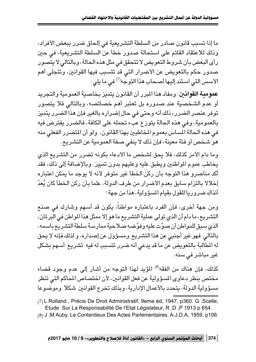ما إذا تسبب قانون صادر من السلطة التشريعية في إلحاق ضرر ببعض الأفراد، وذلك للاعتقاد القائم على استحالة صدور خطأ عن السلطة التشريعية، في حبن رأى البعض بأن شروط التعويض لا تتحقق في مثل هذه الحالة، وبالتالي لا يتصور صدور حكم بالتعويض عن الأضرار التي قد تتسبب فيها القوانين، وتتجلى أهم الأسس التي استند إليها أصحاب هذا التوجه<sup>(7)</sup> في ما يلي:

**عمو منة القوانين** : ومفاد هذا المرر أن القانون يتميز بخاصية العمومية والتجريد أو عدم الشخصية عند صدوره بل تعتبر أهم خصائصه، وبالتالي فلا يتصور توفر عنصر الضرر، ذلك أنه وحتى في حال إضراره بالغير فإن هذا الضرر يتميز بالعمومية، وفي هذه الحالة يتوزع عبء تحمله على الكافة، فالضرر يفترض فيه في هذه الحالة المساس بعموم المخاطبين بهذا القانون، ولو أن المتضرر الفعلى منه هو شخص أو فئة معينة، فإن ذلك لا ينفي صفة العمومية عن التشريع.

وما دام الأمر كذلك، فلا يحق لشخص ما الادعاء بكونه تضرر من التشريع الذي يخاطب عموم المواطنين ويطبق عليه وعليهم بدون تمييز. وبالإضافة إلى ذلك، فقد أكد مناصرو هذا التوجه بأن ركن الخطأ غير متوفر لأنه لا يوجد ما يمكن اعتباره إخلالا بالتزام سابق بعدم الأضرار من طرف الدولة، علما بأن ركن الخطأ كان يُعدّ آنذاك ضروريا للقول بقيام المسؤولية، هذا من جهة؛

ومن جهة أخرى، فإن الفرد باعتباره مواطناً، يكون قد أسهم وشارك في صنع التشريع، ما دام أن الذي تولى عملية التشريع ما هو إلا ممثل هذا المواطن في البرلمان، الذي سبق للمواطن أن صوَّت عليه وفوَّضه صلاحية ممارسة سلطة التشريع باسمه، بالتالي فهو غير أجنبي عن هذا التشريع ومسؤول عن إصداره، و لذلك فإنه لا يحق له المطالبة بالتعويض عن ما قد يدعى أنه ضرر تتسبب له فيه تشريع أسهم بشكل غیر مباشر فی سنه.

كذلك، فإن هناك من الفقه<sup>(8)</sup> المؤيد لهذا التوجه من أشار إلى عدم وجود قضاء مختص بنظر دعاوى المسؤولية عن فعل القوانين، لأن اختصاص المحاكم التي تنظر مسؤولية الدولة، يتحدد بالأعمال الإدارية، وبذلك تخرج القوانين شكلا وموضوعا

(8) J .M Auby, Le Contentieux Des Actes Parlementaires, A.J.D.A, 1959, p106.

<sup>(7)</sup> L.Rolland, Précis De Droit Administratif, 9eme éd, 1947, p360. G.Scelle, Etude Sur La Responsabilité De l'Etat Législateur, R, D, P 1913 p 654.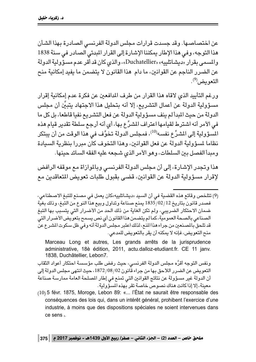عن اختصاصها. وقد جسدت قرارات مجلس الدولة الفرنسي الصادرة بهذا الشأن هذا التوجه، وفي هذا الإطار بمكننا الإشارة إلى القرار المبدئي الصادر في سنة 1838 والمسمى بقرار «ديشاتلييه» «Duchatellier»، والذي كان قد أقر عدم مسؤَّولية الدولة عن الضرر الناجم عن القوانين، ما دام هذا القانون لا يتضمن ما يفيد إمكانية منح التعويض<sup>(9</sup>).

ورغم التأييد الذي لاقاه هذا القرار من طرف المدافعين عن فكرة عدم إمكانية إقرار مسؤولية الدولة عن أعمال التشريع، إلا أنه بتحليل هذا الاجتهاد يتبيَّن أن مجلس الدولة من حيث المبدأ لم ينف مسؤولية الدولة عن فعل التشريع نفيا قاطعا، بل كل ما في الأمر أنه اشترط لقيامها اعتراف المشرِّع بها، أي أنه أرجع سلطة تقدير قيام هذه المُسؤولية إلى المشرِّع نفسه $^{(10)}$ ، فمجلس الدولة تخوَّف في هذا الوقت من أن يبتكر نظاما لمسؤولية الدولة عن فعل القوانين، وهذا التخوف كان مبررا بنظرية السيادة ومبدأ الفصل بين السلطات، وهو الأمر الذي شجعه عليه الفقه السائد حينها.

هذا وتجدر الإشارة، إلى أن مجلس الدولة الفرنسي وبالموازاة مع موقفه الرافض لإقرار مسؤولية الدولة عن القوانين، قضي بقبول طلبات تعويض المتعاقدين مع

(9) تتلخص وقائع هذه القضية في أن السيد «ديشاتلييه»كان يعمل في مصنع للتبغ الاصطناعي، فصدر قانون بتاريخ 12/02/12 يمنع صناعة وتداول وبيع هذاً النوع من التبغ، وذلك بغيّة ضمان الاحتكار الضريبي، ولم تكن الغاية من ذلك الحد من الأضرار التي يتسبب بها التبغ الصناعي بالصحة العمومية، كما لم يتضمن هذا القانون أي نص يسمح بتعويض الأضرار التي قد تلحق بالمصنعين من جراء هذا المنع، لذلك اعتبر مجلس الدولة أنه وفي ظل سكوت المشرع عنّ منح التعويض، فإنه لا يمكنه أن يقر بالتعويض للمدعى.

Marceau Long et autres, Les grands arrêts de la jurisprudence administrative, 18è édition, 2011, actu.dalloz-etudiant.fr. CE 11 janv. 1838, Duchâtellier, Lebon7.

ونفس التوجه أقرَّه مجلس الدولة الفرنسـي، حيث رفض طلب مؤسسـة احتكار أعواد الثقاب التعويض عن الضرر اللاحق بها من جراء قانون 02/ 08/ 1872، حيث انتهى مجلس الدولة إلى أن الدولة غير مسؤولة عن نتائج القوانين التي تمنع في إطار المصلحة العامة ممارسة صناعة معينة، إلا إذا كانت هناك نصوص خاصة تقر يهذه المسؤولية.

(10) 5 févr. 1875, Moroge, Lebon 89: «... l'État ne saurait être responsable des conséquences des lois qui, dans un intérêt général, prohibent l'exercice d'une industrie, à moins que des dispositions spéciales ne soient intervenues dans ce sens ».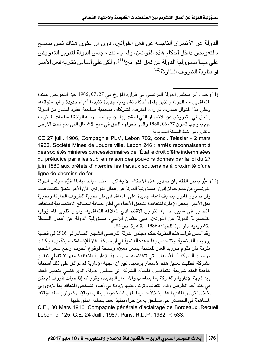الدولة عن الأضرار الناحمة عن فعل القوانين، دون أن يكون هناك نص يسمح بالتعويض داخل أحكام هذه القوانين، ولم يستند مجلس الدولة لتبرير التعويض على مبدأ مسؤولية الدولة عن فعل القوانين (<sup>11)</sup>، ولكن على أساس نظرية فعل الأمير أو نظر بة الظر و ف الطار ئة<sup>(12)</sup>.

(11) حيث أقر مجلس الدولة الفرنسي في قراره المؤرخ في 27/07/27 حق التعويض لفائدة المتعاقدين مع الدولة والذين بفعل أحكام تشريعية جديدة تكبدوا أعباء جديدة وغير متوقعة، وعلى هذا المنوال صدرت قرارات اعترفت لشركات منجمية صاحبة عقود امتياز من الدولة بالحق في التعويض عن الأضرار التي لحقت بها من جراء ممارسة الولاة للسلطات المنوحة لهم بموجّب قانون 27/06/1887 والتّي تخولهم الحق في منع الأشغال التي تتم تحت الأرض بالقرب من خط السكة الحديدية.

CE 27 juill. 1906, Compagnie PLM, Lebon 702, concl. Teissier - 2 mars 1932, Société Mines de Joudre ville, Lebon 246 : arrêts reconnaissant à des sociétés minières concessionnaires de l'État le droit d'être indemnisées du préjudice par elles subi en raison des pouvoirs donnés par la loi du 27 juin 1880 aux préfets d'interdire les travaux souterrains à proximité d'une ligne de chemins de fer.

(12) عبَّر بعض الفقه بأن صدور هذه الأحكام لا يشكل استثناء بالنسبة لما أقرَّه مجلس الدولة الفرنسي من عدم جواز إقرار مسؤولية الدولة عن إعمال القوانين، لأن الأمر يتعلق بتنفيذ عقد، وأن صدور قانون يضيف أعباء جديدة على المتعاقد في ظل نظرية الظروف الطارئة ونظرية فعل الأمير ، يجعل الإدارة المتعاقدة تتحمل الأعباء في إطاّر حماية المصالح الاقتصادية للمتعاقد المتضرر في سبيل حماية التوازن الاقتصادي للعلاقة التعاقدية، وليس تقرير المسؤولية التقصيرية للدولة عن القوانين. نهى عثمان الزيني، مسؤولية الدولة عن أعمال السلطة التشريعية، دار الهنا للطباعة 1986، القاهر ق، ص 84.

وقد أسس قواعد هذه النظرية حكم مجلس الدولة الفرنسي الشهير الصادر في 1916 في قضية بورودو الفرنسية، وتتلخص وقائع هذه القضية في أن شركة الغاز للإضاءة بمدينة بوردو كانت ملزمة بأن تقوم بتوريد الغاز للمدينة بسعر معينٌ، ونتيجة لوقوع الحرب ارتفع سعر الفحم، ووجدت الشركة أن الأسعار التي تتقاضاها من الجهة الإدارية المتعاقدة معها لا تغطي نفقات الشركة، فطلبت تعديل هذه الأسعار برفعها، غير أن الجهة الإدارية لم توافق على ذلك استناداً لقاعدةً العقد شريعة المتعاقدين، فلجأت الشركة إلى مجلس الدولة، الذي قضى بتعديل العقد بين الجهة الإدارية والشركة بما يتناسب والأسعار الجديدة، وقرر أنه إذا طرأت ظروف لم تكن في خلد أحد الطرفين وقت التعاقد وترتب عليها زيادة في أعباء الشخص المتعاقد بما يؤدي إلى إخلال التوازن المادي للعقد إخلالاً جسيماً، فإن للشخص أن يطلب من الإدارة، ولو بصفة مؤقتة، المساهمة في الخسائر التي ستلحق به من جراء تنفيذ العقد بحالته المتفق عليها

C.E., 30 Mars 1916, Compagnie générale d'éclairage de Bordeaux , Recueil Lebon, p. 125; C.E. 24 Juill., 1987, Paris, R.D.P., 1982, P. 533.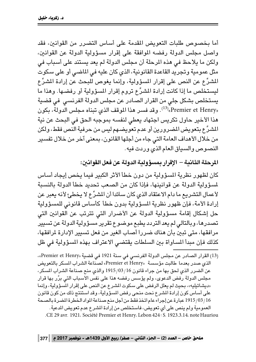أما يخصوص طلبات التعويض المقدمة على أساس التضرر من القوانين، فقد واصل محلس الدولة رفضه الموافقة على إقرار مسؤولية الدولة عن القوانين، ولكن ما يلاحظ في هذه المرحلة أن مجلس الدولة لم يعد يستند على أسباب في مثل عمومية وتجريد القاعدة القانونية، الذي كان عليه في الماضي أو على سكوت المشرِّع عن النص على إقرار المسؤولية، وإنما يغوص للبحث عن إرادة المشرِّع ليستخلص ما إذا كانت إرادة المشرِّع تروم إقرار المسؤولية أو رفضها. وهذا ما يستخلص بشكل جلى من القرار الصادر عن مجلس الدولة الفرنسي ً في قضية وقد فسر هذا الموقف الذي تبناه مجلس الدولة، بكون". بكون Premier et Henry هذا الأخير حاول تكريس اجتهاد يعطى لنفسه بموجبه الحق في البحث عن نية المشرِّع بتعويض المضرورين أو عدم تعويضهم ليس من حرفية النص فقط، ولكن من خلال الأهداف العامة التي جاء من أجلها القانون، بمعنى آخر من خلال تفسير النصوص والسياق العام الذي وردت فيه.

المرحلة الثانية – الإقرار بمسؤولية الدولة عن فعل القوانين:

كان لظهور نظرية المسؤولية من دون خطأ الأثر الكبير فيما يخص إيجاد أساس لمسؤولية الدولة عن قوانينها، فإذا كان من الصعب تحديد خطأ الدولة بالنسبة لأعمال التشريع ما دام الاعتقاد الذي كان سائدا أن المشرِّع لا يخطئ لأنه يعبر عن إرادة الأمة، فإن ظهور نظرية المسؤولية بدون خطأ كأساس قانوني للمسؤولية حل إشكال إقامة مسؤولية الدولة عن الأضرار التي تترتب عن القوانين التي تصدرها، وبالتالي لم يعد التردد يطبع موضوع تقرير مسؤولية الدولة عن تسيير مرافقها، متى تبين بأن هناك ضررا أصاب الغير من فعل تسبير الإدارة لرافقها، كذلك فإن مبدأ المساواة بين السلطات يقتضي الاعتراف بهذه المسؤولية في ظل

(13) القرار الصادر عن مجلس الدولة الفرنسي في سنة 1921 في قضية «Premier et Henry»، الذي صدر بعدما طالبت مؤسسة «Premier et Henry» لصناعة الشراب المسكر بالتعويض عن الضرر الذي لحق بها من جراء قانون 16/03/16 والذي منع صناعة الشراب المسكر، مجلس الدولة رفض الدعوى، ولم يؤسس رفضه هذا على نفس الأسباب التى برَّر بها قرار «ديشاتيليه»، بحيث لم يعلل الرفض على سكوت المشرع عن النص على إقرار المسؤولية، وإنما على أساس كون إرادة المشرع نحت منحى رفض المسؤولية، وقد استنتج ذلك من كون قانون 1915/03/16 عبارة عن إجراء عام اتخذ فقط من أجل منع صناعة المواد الخطرة المضرة بالصحة العمومية ولم ينص على أي تعويض، فاستخلص من إرادة المشرع عدم تعويض المدعية. .CE 29 avr. 1921. Société Premier et Henry. Lebon 424 : S. 1923.3.14. note Hauriou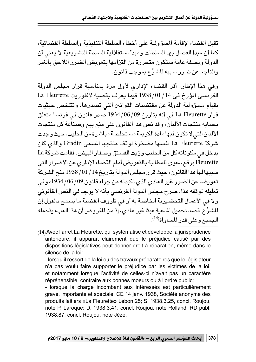تقبل القضاء لإقامة للسؤولية على أخطاء السلطة التنفيذية والسلطة القضائية، كما أن مبدأ الفصل بين السلطات ومبدأ استقلالية السلطة التشريعية لا يعني أن الدولة وبصفة عامة ستكون متحررة من التزامها بتعويض الضرر اللاحق بالغير و الناجم عن ضرر سيبه الشرِّع بموجب قانون.

وفي هذا الإطار، أقر القضاء الإدارى لأول مرة بمناسبة قرار مجلس الدولة الفرنسي المؤرخ في 01/14/ 1938 فيما يعرف بقضية لافلوريت La Fleurette بقيام مسؤولية الدولة عن مقتضيات القوانين التي تصدرها. وتتلخص حيثيات قرار La Fleurette في أنه بتاريخ 99/06/09 1934 صدر قانون في فرنسا متعلق بحماية منتجات الألبان، وقد نص هذا القانون على منع بيع وصناعة كل منتجات الألبان التي لا تكون فيها مادة الكريمة مستخلصة مباشرة من الحليب، حيث وجدت شركة La Fleurette نفسها مضطرة لوقف منتجها المسمى Gradin والذي كان يدخل في مكوناته كل من الحليب وزيت الفستق وصفار البيض. فقامت شركة La Fleurette برفع دعوى للمطالبة بالتعويض أمام القضاء الإداري عن الأضرار التي سببها لها هذا القانون، حيث قرر مجلس الدولة بتاريخ 14 / 10/ 1938 منح الشركة تعويضًا عن الضرر غير العادي الذي تكبدته من جراء قانون 09/ 06/ 1934، وفي تعليله لموقفه هذا، صرح مجلس الدولة الفرنسي بأنه لا يوجد في النص القانوني ولا في الأعمال التحضيرية الخاصة به أو في ظروف القضية ما يسمح بالقول إن المشرِّع قصد تحميل المدعية عبئا غير عادى، إذ من المفروض أن هذا العبء يتحمله الحميع وعلى قدر المساواة<sup>(14)</sup>.

(14) Avec l'arrêt La Fleurette, qui systématise et développe la jurisprudence antérieure, il apparaît clairement que le préjudice causé par des dispositions législatives peut donner droit à réparation, même dans le silence de la loi:

- lorsqu'il ressort de la loi ou des travaux préparatoires que le législateur n'a pas voulu faire supporter le préjudice par les victimes de la loi, et notamment lorsque l'activité de celles-ci n'avait pas un caractère répréhensible, contraire aux bonnes moeurs ou à l'ordre public;

- lorsque la charge incombant aux intéressés est particulièrement grave, importante et spéciale. CE 14 janv. 1938, Société anonyme des produits laitiers «La Fleurette» Lebon 25; S. 1938.3.25, concl. Roujou, note P. Laroque; D. 1938.3.41, concl. Roujou, note Rolland; RD publ. 1938.87, concl. Roujou, note Jèze.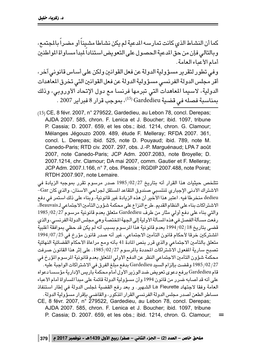كما أن النشاط الذي كانت تمارسه المدعية لم يكن نشاطا مشيِناً أو مضراً بالمجتمع، وبالتالي فإن من حق المدعية الحصول على التعويض استناداً لمبدأ مساواة المواطنين أمام الأعداء العامة. وفي تطور لتقرير مسؤولية الدولة عن فعل القوانين ولكن على أساس قانوني آخر ، أقر مجلس الدولة الفرنس*ى* مسؤولية الدولة عن فعل القوانين التى تخرق المعاهدات الدولية، لاسبما المعاهدات التي تبرمها فرنسا مع دول الإتحاد الأوروبي، وذلك بمناسبة فصله في قضية Gardedieu <sup>(15</sup>)، بموجب قرار 8 فبراير 2007 .

(15) CE, 8 févr. 2007, n° 279522, Gardedieu, au Lebon 78, concl. Derepas; AJDA 2007. 585, chron. F. Lenica et J. Boucher; ibid. 1097, tribune P. Cassia; D. 2007. 659, et les obs.; ibid. 1214, chron. G. Clamour; Mélanges Jégouzo 2009. 489, étude F. Melleray; RFDA 2007. 361, concl. L. Derepas; ibid. 525, note D. Pouyaud; ibid. 789, note M. Canedo-Paris; RTD civ. 2007. 297, obs. J.-P. Marguénaud; LPA 7 août 2007, note Canedo-Paris; JCP Adm. 2007.2083, note Broyelle; D. 2007.1214, chr. Clamour; DA mai 2007, comm. Gautier et F. Melleray; JCP Adm. 2007.I.166, n° 7, obs. Plessix ; RGDIP 2007.488, note Poirat; RTDH 2007.907, note Lemaire.

تتلخص حيثيات هذا القرار أنه بتاريخ 1985/02/27 صدر مرسوم تقرر بموجبه الزيادة في الاشتراك الأدنى الإجباري لنتسبي صندوق التقاعد المستقل لجراحي الأسنان، والذي كان Gar− dedieu منخرطا فيه. اعتبر هذا الأخير أن هذه الزيادة غير قانونية، وبناء على ذلك استمر في دفع الاشتراكات بناء على النظام القديم. طرح النزاع على محكمة شؤون التأمين الاجتماعي لـ Beauvais، والتي بناء على دفع أولي مثار من طرف Gardedieu متعلق بعدم قانونية مرسوم 27/02/27 رفعتٌ مسـألة الفصـل فـى هذه المسـألة الأولية إلـى الـجـهة المختصـة و هـى مـجلس الدولة الفرنسـى، والذى قضى بتاريخ 18/02/18 بعدم قانونية هذا الرسوم بسبب أنه لم يكن قد حظي بموافقة أغلبية المشتركين خرقا لأحكام قانون التأمين الاجتماعي، غير أنه صدر قانون مؤرخ في 25/07/251 متعلق بالتأمين الاجتماعي والذي قرر بنص المادة 41 بأنه ومع مراعاة الأحكام القّضائية النهائية تصبح سارية المفعول الاشتراكات المحددة بالمرسوم 27/02/27. على إثر هذا القانون صرفت محكمة شؤون التأمين الاجتماعي النظر عن الدفع الأولي المتعلق بعدم قانونية المرسوم المؤرخ في 27/ 1985 J وقضت بإلزام السيّد Gardedieu بدفع مبلّغ الفرق في الاشتراكات الواجبة عليه. قام Gardedieu برفع دعوى تعويض ضد الوزير الأول أمام محكمة باريس الإدارية مؤسسا دعواه على أنه قد أصـابه ضـرر من قانون 1994 وأن مسؤولية الدولة قائمة على مبدأ المساواة أمام الأعباء العامة وفقا لاجتهاد La Fleurette الشهير . و بعد رفع القضية لمجلس الدولة في إطار استنفاذ مساطر الطعن أصدر مجلس الدولة الفرنسى القرار المذكور ، والقاضى بإقرار مسؤولية الدولة . CE, 8 févr. 2007, n° 279522, Gardedieu, au Lebon 78, concl. Derepas;

AJDA 2007. 585, chron. F. Lenica et J. Boucher; ibid. 1097, tribune P. Cassia; D. 2007. 659, et les obs.; ibid. 1214, chron. G. Clamour;  $=$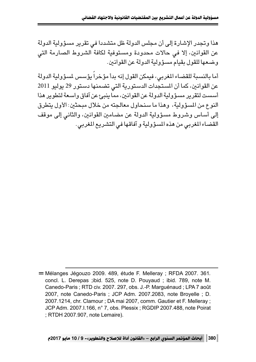هذا وتجدر الإشارة إلى أن مجلس الدولة ظل متشددا في تقرير مسؤولية الدولة عن القوانين، إلا في حالات محدودة ومستوفية لكافة الشروط الصارمة التي و ضعها للقول يقيام مسؤ ولية الدولة عن القوانين.

أما بالنسبة للقضاء المغربي، فيمكن القول إنه بدأ مؤخراً يؤسس لمسؤولية الدولة عن القوانين، كما أن المستجدات الدستورية التي تضمنها دستور 29 يوليو 2011 'سست لتقرير مسؤولية الدولة عن القوانين، مما ينبئ عن آفاق واسعة لتطوير هذا ົ້າ النوع من المسؤولية، وهذا ما سنحاول معالجته من خلال مبحثين: الأول يتطرق إلى أساس وشروط مسؤولية الدولة عن مضامين القوانين، والثاني إلى موقف القضاء المغربي من هذه المسؤولية و آفاقها في التشريع المغربي.

 $=$  Mélanges Jégouzo 2009. 489, étude F. Melleray; RFDA 2007. 361. concl. L. Derepas ;ibid. 525, note D. Pouyaud ; ibid. 789, note M. Canedo-Paris ; RTD civ. 2007. 297, obs. J.-P. Marguénaud ; LPA 7 août 2007, note Canedo-Paris ; JCP Adm. 2007.2083, note Broyelle ; D. 2007.1214, chr. Clamour ; DA mai 2007, comm. Gautier et F. Melleray ; JCP Adm. 2007.I.166, n° 7, obs. Plessix ; RGDIP 2007.488, note Poirat ; RTDH 2007.907, note Lemaire).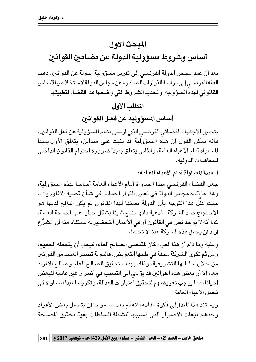### المبحث الأول

### أساس وشروط مسؤولية الدولة عن مضامين القوانين

بعد أن عمد مجلس الدولة الفرنسي إلى تقرير مسؤولية الدولة عن القوانين، ذهب الفقه الفرنسي إلى دراسة القرارات الصادرة عن مجلس الدولة لاستخلاص الأساس القانوني لهذه المسؤولية، وتحديد الشروط التي وضعها هذا القضاء لتطبيقها.

#### المطلب الأول

أساس المسؤولية عن فعل القوانين

بتحليل الاجتهاد القضائي الفرنسي الذي أرسى نظام المسؤولية عن فعل القوانين، فإنه يمكن القول إن هذه المسؤولية قد بنيت على مبدأين، يتعلق الأول بمبدأ المساواة أمام الأعباء العامة، والثاني يتعلق بمبدأ ضرورة احترام القانون الداخلي للمعاهدات الدو لية.

أ ـ مددأ المساواة أمام الأعباء العامة:

جعل القضاء الفرنسي مبدأ المساواة أمام الأعباء العامة أساسا لهذه المسؤولية، وهذا ما أكده مجلس الدولة في تعليل القرار الصـادر في شـأن قضـية «لافلوريت»، حيث علَّلَ هذا التوجه بأن الدولة بسنها لهذا القانون لم يكن الدافع لديها هو الاحتجاج ضد الشركة المدعية بأنها تنتج شيئا يشكل خطرا على الصحة العامة، كما أنه لا يوجد نص في القانون أو في الأعمال التحضيرية يستفاد منه أن المشرِّع أراد أن يحمل هذه الشركة عبئًا لا تحتمله.

وعليه وما دام أن هذا العبء كان لمقتضى الصالح العام، فيجب أن يتحمله الجميع، ومن ثم تكون الشركة محقة في طلبها التعويض. فالدولة تصدر العديد من القوانين من خلال سلطتها التشريعية، وذلك بهدف تحقيق الصالح العام وصالح الأفراد معا، إلا أن بعض هذه القوانين قد يؤدي إلى التسبب في أضرار غير عادية للبعض أحيانا، مما يوجب تعويضهم لتحقيق اعتبارات العدالة، وتكريسا لمبدأ المساواة في تحمل الأعياء العامة.

ويستند هذا المبدأ إلى فكرة مفادها أنه لم يعد مسموحا أن يتحمل بعض الأفراد وحدهم تبعات الأضرار التى تسببها أنشطة السلطات بغية تحقيق المصلحة

ملحق خاص – العدد (2) – الجزء الثاني – صفر/ ربيع الأول 1439هـ - نوفمبر 2017 م | 381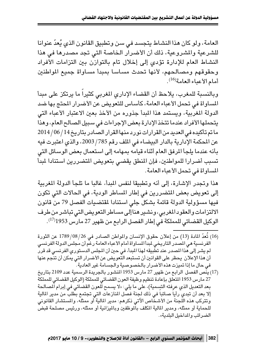العامة، ولو كان هذا النشاط يتجسد في سن وتطبيق القانون الذي يُعدّ عنوانا للشرعية والمشروعية، ذلك أن الأضرار الخاصة التي تجد مصدرها في هذا النشاط العام للإدارة تؤدي إلى إخلال تام بالتوازن بين التزامات الأفراد وحقوقهم ومصالحهم، لأنها تحدث مساسا بمبدأ مساواة جميع المواطنين أمام الأعياء العامة (<sup>16)</sup>.

وبالنسبة للمغرب، يلاحظ أن القضاء الإداري المغربي كثيراً ما يرتكز على مبدأ المساواة في تحمل الأعباء العامة، كأساس للتعويض عن الأضرار المحتج بها ضد الدولة المغربية، ويستمد هذا المبدأ جذوره من الأخذ بعين الاعتبار الأعباء التي يتحملها الأفراد عندما تتخذ الإدارة بعض الإجراءات في سبيل الصالح العام، وهذا ما تم تأكيده في العديد من القرارات نورد منها القرار الصادر بتاريخ 14 / 06 / 2014 عن المحكمة الإدارية بالدار البيضاء في الملف رقم 785/ 2003، والذي اعتبرت فيه بأنه عندما يلجأ المرفق العام أثناء قيامه بمهامه إلى استعمال بعض الوسائل التي تسبب أضرارا للمواطنين، فإن المنطق يقضى بتعويض المتضررين استنادا لمبدأ المساواة في تحمل الأعباء العامة.

هذا وتجدر الإشارة، إلى أنه وتطبيقا لنفس المبدأ، غالبا ما تلجأ الدولة المغربية إلى تعويض بعض المتضررين في إطار المساطر الودية، في الحالات التي تكون فيها مسؤولية الدولة قائمة بشكل جلي استنادا لمقتضيات الفصل 79 من قانون الالتزامات والعقود المغربي، ونشير هنا إلى مساطر التعويض التي تباشر من طرف الوكيل القضائي للمملكة في إطار الفصل الرابع من ظهير 27 مارس 1953<sup>(17)</sup>.

- (16) تُعدّ المادة (13) من إعلان حقوق الإنسان والمواطن الصادر في 26/ 08/ 1789 عن الثورة الفرنسية هي المصدر التاريخي لمبدأ المساواة أمام الأعباء العامة رغم أن مجلس الدولة الفرنسي لم يشر إلى هذا المصدر عند تطَّبيقه لهذا المبدأ، فى حين أن المجلس الدستوري الفرنسى قد قرر ۖ أن هذا الإعلان يحظر على القوانين أن تستبعد التعويض عن الأضرار التي يمكن أن تنجم عنها في حال ما إذا تميزت هذه الأضرار بالخصوصية والجسامة غير العادية. ۖ
- (17) ينَّص الفصل الرابع من ظهير 27 مارس 1953 المنشور بالجريدة الرسمية عدد 2109 بتاريخ 27 مارس 1953 المتعلق بإعادة تنظيم وظيفة العون القضائي للمملكة (الوكيل القضائي للمملكة بعد التعديل الذي عرِفته التسِمية)، على ما يلي: «لا يسمح لَّلعون القضائي في إبرام الصالحة إلا بعد أن تبدى رأيا صائبا في ذلك لجنة فصل المنازعات التي تجتمع بطلب من مدير المالية وتتركب هذه اللجنة من الأشـخّاص الآتى ذكرهم: مدير المالية أو ممثله، والمستشار القانونى للحماية أو ممثله، ومدير المالية المكلف بآلوظفين وبالميزانية أو ممثله، ورئيس مصلحة قبضً الضرائب والمداخيل البلدية».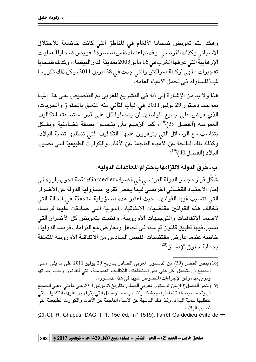وهكذا يتم تعويض ضحايا الألغام في المناطق التي كانت خاضعة للاحتلال الاسباني وكذلك الفرنسي، وقد تم اعتماد نفس المسطرة لتعويض ضحايا العمليات الإرهابية التي عرفها المغرب في 16 مايو 2003 بمدينة الدار البيضاء، وكذلك ضحايا تفجيرات مقهى أركانة بمراكش والتي جدت في 28 ابريل 2011، وكل ذلك تكريسا لمبدأ المساواة في تحمل الأعباء العامة.

هذا ولا بد من الإشارة إلى أنه في التشريع المغربي تم التنصيص على هذا المبدأ بموجب دستور 29 يوليو 2011 في الباب الثاني منه المتعلق بالحقوق والحريات، الذي فرض على جميع المواطنين أن يتحملوا كل على قدر استطاعته التكاليف العمومية (الفصل 39)<sup>(18)</sup>، كما ألزمهم بأن يتحملوا بصفة تضامنية وبشكل يتناسب مع الوسائل التي يتوفرون عليها، التكاليف التي تتطلبها تنمية البلاد، وكذلك تلك الناتجة عن الأعباء الناجمة عن الآفات والكوارث الطبيعية التي تصيب البلاد (الفصل 40)<sup>(19)</sup>.

ب ـ خرق الدولة لالتزامها باحترام المعاهدات الدولية : شَكَل قرار مجلس الدولة الفرنسـى فى قضـية «Gardedieu» نقطة تحول بارزة فى إطار الاجتهاد القضائى الفرنسى فيما يخص تقرير مسؤولية الدولة عن الأضرار التي تتسبب فيها القوانين، حيث اعتبر هذه المسؤولية متحققة في الحالة التي تخالف هذه القوانين مقتضيات الاتفاقيات الدولية التى صادقت عليها فرنسا، لاسيما الاتفاقيات والتوجيهات الأوروبية، وقضت بتعويض كل الأضرار التي تسبب فيها تطبيق قانون تم سنه في تجاهل وتعارض مع التزامات فرنسا الدولية، خاصة عندما عارض مقتضيات الفصل السادس من الاتفاقية الأوروبية المتعلقة بحماية حقوق الإنسان<sup>(20)</sup>.

- (18) ينص الفصل (39) من الدستور المغربي الصادر بتاريخ 29 يوليو 2011 على ما يلي: «على الجميع أن يتحمل، كل على قدر استطاعته، التكاليف العمومية، التي للقانون وحده إحداثها وتوزيعها، وفق الإجراءات المنصوص عليها في هذا الدستور».
- (19) ينص الفصل (40) من الدستور المغربي الصادر بتاريخ 29 يوليو 2011 على ما يلي : «على الجميع أن يتحمل، بصفة تضامنية، وبشكل يُتناسب مع الوسائل التي يتوفرون عليها، التكاليف التي تتطلبها تنمية البلاد، وكذا تلك الناتجة عن الأعباء الناجمة عن الآفات والكوارث الطبيعية التيّ تصبب البلاد».

(20) Cf. R. Chapus, DAG, t. 1, 15e éd., n° 1519), l'arrêt Gardedieu évite de =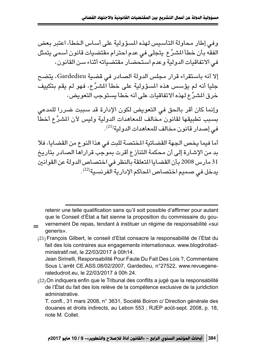و في إطار محاولة التأسيس لهذه المسؤ ولية على أساس الخطأ، اعتبر يعض الفقه بأن خطأ المشرِّع يتجلى فى عدم احترام مقتضيات قانون أسمى يتمثل في الاتفاقيات الدولية وعدم استحضار مقتضياته أثناء سن القانون،

إلا أنه باستقراء قرار مجلس الدولة الصادر في قضية Gardedieu، يتضح جليا أنه لم يؤسس هذه المسؤولية على خطأ المشرِّع، فهو لم يقم بتكييف خرق المشرِّع لهذه الاتفاقيات على أنه خطأ يستوجب التعويض،

وإنما كان أقر بالحق في التعويض لكون الإدارة قد سببت ضررا للمدعى بسبب تطبيقها لقانون مخالف للمعاهدات الدولية وليس لأن المشرِّع أخطأ في إصدار قانون مخالف للمعاهدات الدولية<sup>(21)</sup>.

أما فيما يخص الجهة القضائية المختصة للبت في هذا النوع من القضايا، فلا بد من الإشارة إلى أن محكمة التنازع أقرت بموجب قراراها الصادر بتاريخ 31 مارس 2008 بأن القضايا المتعلقة بالنظر في اختصاص الدولة عن القوانين يدخل في صميم اختصاص المحاكم الإدارية الفرنسية<sup>(22)</sup>.

retenir une telle qualification sans qu'il soit possible d'affirmer pour autant que le Conseil d'État a fait sienne la proposition du commissaire du gouvernement De repas, tendant à instituer un régime de responsabilité «sui generis».

 $\equiv$ 

(21) François Gilbert, le conseil d'Etat consacre la responsabilité de l'Etat du fait des lois contraires aux engagements internationaux. www.blogdroitadministratif.net. le 22/03/2017 à 00h14.

Jean Sirinelli, Responsabilité Pour Faute Du Fait Des Lois ?, Commentaire Sous L'arrêt CE.ASS.08/02/2007, Gardedieu, n°27522, www.revuegeneraledudroit.eu, le 22/03/2017 à 00h 24.

(22) On indiquera enfin que le Tribunal des conflits a jugé que la responsabilité de l'État du fait des lois relève de la compétence exclusive de la juridiction administrative.

T. confl., 31 mars 2008, n° 3631, Société Boiron c/ Direction générale des douanes et droits indirects, au Lebon 553 ; RJEP août-sept. 2008, p. 18, note M. Collet.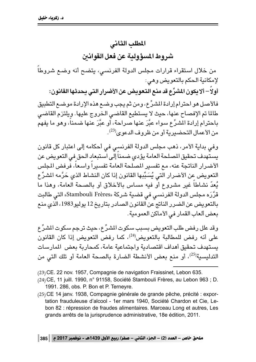## المطلب الثاني

### شر وط المسؤ ولية عن فعل القوانين

من خلال استقراء قرارات مجلس الدولة الفرنسى، يتضح أنه وضع شروطاً لإمكانية الحكم بالتعويض وهي:

أولاً – ألا يكون المشرِّع قد منـع التـعويض عن الأضرار التي يـحدثها القانون: فالأصل هو احترام إرادة المشرِّع، ومن ثم يجب وضـع هذه الإرادة موضـع التطبيق طالما تم الإفصاح عنها، حيث لا يستطيع القاضى الخروج عليها. ويلتزم القاضى باحترام إرادة المشرِّع سواء عبَّرَ عنها صراحة، أو عبَّرَ عنها ضمناً، وهو ما يفهم من الأعمال التحضيرية أو من ظروف الدعوى<sup>(23)</sup>.

وفي بداية الأمر، ذهب مجلس الدولة الفرنسي في أحكامه إلى اعتبار كل قانون يستهدف تحقيق المسلحة العامة يؤدى ضمناً إلى استبعاد الحق في التعويض عن الأضرار الناتجة عنه، مع تفسير المصلحة العامة تفسيراً واسعاً، فرفض المجلس التعويض عن الأضرار التي يُسَبِّبها القانون إذا كان النشاط الذي حَرَّمه المشرِّ ع يُعدّ نشاطاً غير مشروع أو فيه مساس بالأخلاق أو بالصحة العامة، وهذا ما قرَّرَه مجلس الدولة الفرنسي فى قضية شركة «Stambouli Frères» التى طالبت بالتعويض عن الضرر الناتج عن القانون الصادر بتاريخ 12 يوليو1983، الذي منع بعض ألعاب القمار في الأماكن العمومية.

وقد علل رفض طلب التعويض بسبب سكوت المشرِّ ع، حيث ترجم سكوت المشرِّ ع على أنه رفض للمطالبة بالتعويض<sup>(24)</sup>، كما رفض التعويض إذا كان القانون يستهدف تحقيق أهداف اقتصادية واجتماعية عامة، كمحاربة بعض المارسات التدليسية<sup>(25)</sup>، أو منع بعض الأنشطة الضارة بالصحة العامة أو تلك التي من

- (23) CE. 22 nov. 1957, Compagnie de navigation Fraissinet, Lebon 635.
- (24) CE, 11 juill. 1990, n° 91158, Société Stambouli Frères, au Lebon 963 ; D. 1991. 286, obs. P. Bon et P. Terneyre.
- (25) CE 14 janv. 1938, Compagnie générale de grande pêche, précité : exportation frauduleuse d'alcool - 1er mars 1940, Société Chardon et Cie, Lebon 82 : répression de fraudes alimentaires. Marceau Long et autres, Les grands arrêts de la jurisprudence administrative, 18e édition, 2011.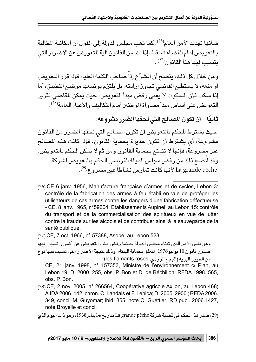شـأنـها تـهديد الأمن العام<sup>(26)</sup>، كما ذهب مـحلس الدولة إلـى القول إن إمكانية المطالبة بالتعويض أمام القضاء تسقط، إذا تضمن القانون آلية للتعويض عن الأضرار التي  $(27)$ . يتسبب فيها هذا القانو ن

ومن خلال كل ذلك، يتضح أن المشرِّع إذاً صاحب الكلمة العليا، فإذا قرر التعويض أو منعه، لا يستطيع القاضي تجاوز إرادته، بل يلتزم بوضعها موضع التطبيق، أما إذا سكت فإن السكوت لا يعني رفض مبدأ التعويض، حيث يمكن للقاضي تقرير التعويض على أساس مبدأ مساواة الموطنين أمام التكاليف والأعباء العامة<sup>(28</sup>).

ثانيًا – أن تكون المصالح التي لحقها الضرر مشروعة:

حيث يشترط للحكم بالتعويض أن تكون المصالح التي لحقها الضرر من القانون مشروعة، أي يشترط أن تكون جديرة بحماية القانون، فإذا كانت هذه المصالح غير مشروعة، فإنها لا تتمتع بحماية القانون ومن ثم لا يمكن الحكم بالتعويض. وقد اتَّضـح ذلك من رفض مـجلس الدولة الفرنسـي الـحكم بالتعويض لشـركة La grande pêche لأنها كانت تمارس نشاطاً غير مشروع<sup>(29)</sup>.

(26) CE 6 janv. 1956, Manufacture française d'armes et de cycles, Lebon 3: contrôle de la fabrication des armes à feu établi en vue de protéger les utilisateurs de ces armes contre les dangers d'une fabrication défectueuse - CE, 8 janv. 1965, n°59604, Etablissements Aupinel, au Lebon 15: contrôle du transport et de la commercialisation des spiritueux en vue de lutter contre la fraude sur les alcools et de contribuer ainsi à la sauvegarde de la santé publique.

(27) CE, 7 oct. 1966, n° 57388, Asope, au Lebon 523.

وهو نفس الأمر الذي تبناه مجلس الدولة حينما رفض طلب التعويض عن أضرار تسبب فيها صدور قانون 10 يوليو1976 المتعلق بحماية البيئة، وذلك نتيجة الأضرار التي تسبب فيها نوع من الطيور البرية (البجع الوردي les flamants roses).

CE, 21 janv. 1998, n° 157353, Ministre de l'environnement c/ Plan, au Lebon 19; D. 2000. 255, obs. P. Bon et D. de Béchillon; RFDA 1998. 565, obs. P. Bon.

(28) CE, 2 nov. 2005, n° 266564, Coopérative agricole Ax'ion, au Lebon 468; AJDA 2006. 142, chron. C. Landais et F. Lenica; D. 2005. 2900; RFDA 2006. 349, concl. M. Guyomar; ibid. 355, note C. Guettier; RD publ. 2006.1427, note Broyelle et concl.

(29) صدر هذا الحكم في قضية شركة La grande pêche بتاريخ 14يناير 1938، وهو ذات اليوم الذي =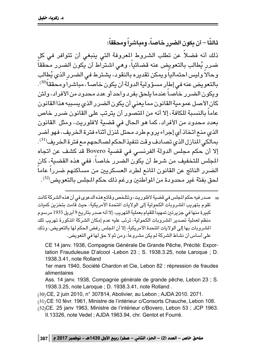ثالثًا – أن يكون الضرر خاصاً، ومباشراً ومحققاً:

ذلك أنه فضلاً عن تطلب الشروط المعروفة التى ينبغي أن تتوافر في كل ضرر يُطالب بالتعويض عنه قضائياً، وهي اشتراط أن يكون الضرر محققاً وحالاً وليس احتمالياً ويمكن تقديره بالنقود، يشترط في الضرر الذي يُطالب بالتعويض عنه في إطار مسؤولية الدولة أن يكون خاصـ1 ، مباشـراً ومحققاً<sup>(30</sup>). ويكون الضرر خاصاً عندما يلحق بفرد واحد أو عدد محدود من الأفراد، ولئن كان الأصل عمومية القانون مما يعني أن يكون الضرر الذي يسببه هذا القانون عاماً بالنسبة للكافة، إلا أنه من المتصور أن يترتب على القانون ضرر خاص بعدد محدود من الأفراد، كما هو الحال في قضية لافلوريت، ومثل القانون الذي منع اتخاذ أي إجراء يروم طرد محتل لمنزل أثناء فترة الخريف، فهو أضر بمالكي المنازل الذي تصادف وقت تنفيذ الحكم لصالحهم مع فترة الخريف <sup>(31)</sup> . إلا أن حكم مجلس الدولة الفرنسي في قضية Bovero قد كشف عن اتجاه المجلس للتخفيف من شرط أن يكون الضرر خاصاً. ففي هذه القضية، كان الضرر الناتج عن القانون المانع لطرد العسكريين من مساكنهم ضرراً عاماً لحق بفئة غير محدودة من المواطنين ورغم ذلك حكم المجلس بالتعويض $^{(32)}$ .

= صدر فيه حكم المجلس في قضية لافلوريت، وتتلخص وقائع هذه الدعوى في أن هذه الشركة كانت تقوم بتهريب الشروبات الكحولية إلى الولايات المتحدة الأمريكية، حيث قامت بتخزين كميات كبيرة منها فى جزيرتين تمهيداً للقيام بعملية التهريب، إلا أنه صدر بتاريخ 9 أبريل 1935 مرسوم منظم لعملية تصدير الشروبات الكحولية، ترتب عليه عدم إمكان الشركة المذكورة تهريب تلك المشروبات بها إلى الولايات المتحدة الأمريكية، إلا أن المجلس رفض الحكم لها بالتعويض، وذلك على أساس أن نشاط الشركة لم يكن مشروعاً، ومن ثم لا حق لها في التعويض.

CE 14 janv. 1938, Compagnie Générale De Grande Pêche, Précité: Exportation Frauduleuse D'alcool -Lebon 23 ; S. 1938.3.25, note Laroque ; D. 1938.3.41, note Rolland

1er mars 1940, Société Chardon et Cie, Lebon 82 : répression de fraudes alimentaires

Ass. 14 janv. 1938, Compagnie générale de grande pêche, Lebon 23 ; S. 1938.3.25, note Laroque ; D. 1938.3.41, note Rolland.

- (30) CE, 2 juin 2010, n° 307814, Abolivier, au Lebon; AJDA 2010. 2071.
- (31) CE 10 févr. 1961, Ministre de l'intérieur c/Consorts Chauche, Lebon 108.
- (32) CE. 25 janv 1963, Ministre de l'intérieur c/Bovero, Lebon 53 ; JCP 1963.

II.13326, note Vedel; AJDA 1963.94, chr. Gentot et Fourré.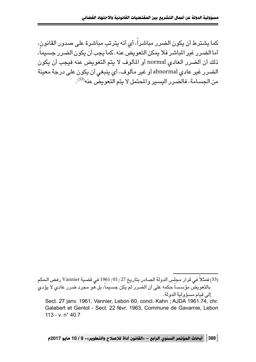كما يشترط أن يكون الضرر مباشراً، أي أنه يترتب مباشرة على صدور القانون، أما الضرر. غير الماشر فلا يمكن التعويض عنه. كما يجب أن يكون الضرر. حسيماً، ذلك أن الضرر العادي normal أو المألوف لا يتم التعويض عنه فيجب أن يكون الضرر غير عادي abnormal أو غير مألوف، أي ينبغي أن يكون على درجة معينة من الحسامة، فالضرر البسير والمحتمل لا يتم التعويض عنه<sup>(33)</sup>.

│ 388 │ أبحاث المؤتمر السنوي الرابع – «القانون أداة للإصلاح والتطوير»- 9 / 10 مايو 2017م

<sup>(33)</sup> فمثلاً في قرار مجلس الدولة الصـادر بتاريخ 1961/01/27 في قضية Vannier رفض الـحكم .<br>بالتعويض مؤسساً حكمه على أن الضرر لم يكن جسيماً، بل هو مجرد ضرر عادي لا يؤدي إلى قيام مسؤولية الدولة.

Sect. 27 janv. 1961, Vannier, Lebon 60, concl. Kahn ; AJDA 1961.74, chr. Galabert et Gentot - Sect. 22 févr. 1963, Commune de Gavarnie, Lebon 113 - v.  $n^{\circ}$  40.7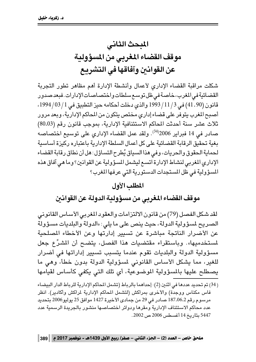## المبحث الثاني مو قف القضاء المغربي من المسؤ ولية عن القوانين وآفاقها في التشريع

شكلت مراقبة القضاء الإدارى لأعمال وأنشطة الإدارة أهم مظاهر تطور التجربة القضائية في المغرب، خاصة في ظل توسع سلطات واختصاصات الإدارات. فبعد صدور قانون (90 ـ 41) في 3/ 11 / 1993 والذي دخلت أحكامه حيز التطبيق في 1 / 03 / 1994، أصبح المغرب يتوفر على قضاء إداري مختص يتكون من المحاكم الإدارية، وبعد مرور ثلاث عشر سنة أحدثت المحاكم الاستئنافية الإدارية، بموجب قانون رقم (80.03) صادر في 14 فبراير 2006<sup>(34</sup>). ولقد عمل القضاء الإداري على توسيع اختصاصه يغية تحقيق الرقابة القضائية على كل أعمال السلطة الإدارية باعتباره ركيزة أساسية لحماية الحقوق والحريات، وفي هذا السياق يُطرح التساؤل: هل أن نطاق رقابة القضاء الإداري المغربي لنشاط الإدارة اتسع ليشمل المسؤولية عن القوانين؟ وما هي آفاق هذه المسؤولية في ظل المستجدات الدستورية التي عرفها المغرب؟

#### المطلب الأول

موقف القضاء المغربي من مسؤولية الدولة عن القوانين

لقد شكل الفصل (79) من قانون الالتزامات والعقود المغربي الأساس القانوني الصريح لمسؤولية الدولة، حيث ينص على ما يلي: «الدولة والبلديات مسؤولة عن الأضرار الناتجة مباشرة عن تسيير إدارتها وعن الأخطاء المصلحية لمستخدميها». وباستقراء مقتضيات هذا الفصل، يتضح أن المشرِّع جعل مسؤولية الدولة والبلديات تقوم عندما يتسبب تسيير إداراتها فى أضرار للغير، مما يشكل الأساس القانوني لمسؤولية الدولة بدون خطأ، وهي ما يصطلح عليها بالمسؤولية الموضوعية، أي تلك التي يكفي كأساس لقيامها

( 34) تم تحديد عددها في اثنين (2) : إحداهما بالرباط (تشمل المحاكم الإدارية للرباط الدار البيضاء فاس مكناس ووجدَّة) والأخرى بمراكش (لتشمل المحاكم الإدارية لمراكش وأكادير). انظر مرسوم رقم 187.06.2 صادر في 29 من جمادى الأخيرة 1427 موافق 25 يوليو2006 بتحديد عدد محاكم الاستئناف الإدارية ومقرها ودوائر اختصاصها منشور بالجريدة الرسمية عدد 5447 بتاريخ 14 أغسطس 2006 ص 2002.

ملحق خاص – العدد (2) – الجزء الثاني – صفر/ ربيع الأول 1439هـ - نوفمبر 2017 م | 389 |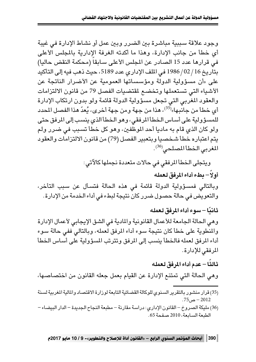وجود علاقة سببية مباشرة ببن الضرر وببن عمل أو نشاط الإدارة في غيبة أي خطأ من حانب الإدارة، وهذا ما أكدته الغرفة الإدارية بالمحلس الأعلى في قرارها عدد 15 الصادر عن المجلس الأعلى سابقاً (محكمة النقض حاليا) بتاريخ 16 / 02 / 1986 في الملف الإداري عدد 5189، حيث ذهب فيه إلى التأكيد على «أن مسؤولية الدولة ومؤسساتها العمومية عن الأضرار الناتجة عن الأشياء التي تستعملها وتخضع لمقتضيات الفصل 79 من قانون الالتزامات والعقود المغربي التي تجعل مسؤولية الدولة قائمة ولو بدون ارتكاب الإدارة أي خطأ من جانبها»<sup>(35)</sup>، هذا من جهة ومن جهة أخرى، يُعدّ هذا الفصل المحدد للمسؤولية على أساس الخطأ المرفقى، وهو الخطأ الذي ينسب إلى المرفق حتى ولو كان الذي قام به ماديا أحد الموظفين، وهو كل خطأ تسبب في ضرر ولم يتم اعتباره خطأ شخصيا وبتعبير الفصل (79) من قانون الالتزامات والعقود المغربي الخطأ المصلحى<sup>(36)</sup>.

ويتجلى الخطأ المرفقي في حالات متعددة نجملها كالآتي:

أولاً – بطء أداء المرفق لعمله وبالتالي فمسؤولية الدولة قائمة في هذه الحالة فتسأل عن سبب التأخر، والتعويض في حالة حصول ضرر كان نتيجة لبطء في أداء الخدمة من الإدارة.

ثانيًا – سوء أداء المرفق لعمله وهي الحالة الجامعة للأعمال القانونية والمادية في الشق الإيجابي لأعمال الإدارة والمنَّطوية على خطأ كان نتيجة سوء أداء المرفق لعمله، وبالتالي ففي حالة سوء أداء المرفق لعمله فالخطأ ينسب إلى المرفق وتترتب المسؤولية على أساس الخطأ المرفقى للإدارة.

ثالثًا – عدم أداء المرفق لعمله

وهي الحالة التي تمتنع الإدارة عن القيام بعمل جعله القانون من اختصاصها،

- (35) قرار منشور بالتقرير السنوى للوكالة القضائية التابعة لوزارة الاقتصاد والمالية المغربية لسنة 2012 – ص75.
- (36) مليكة الصروخ القانون الإداري: دراسة مقارنة مطبعة النجاح الجديدة الدار البيضاء الطبعة السابعة، 2010 صفحة 65.

│ 390 │ أبحاث المؤتمر السنوى الرابع – «القانون أداة للإصلاح والتطوير»- 9 / 10 مايو 2017م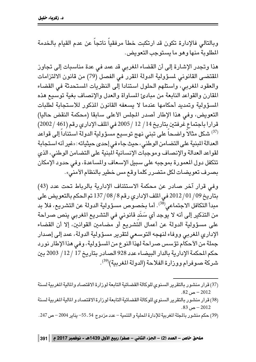وبالتالي فالإدارة تكون قد ارتكبت خطأ مرفقياً ناتجاً عن عدم القيام بالخدمة المطلوبة منها وهو ما يستوجب التعويض.

هذا وتجدر الإشارة إلى أن القضاء المغربي قد عمد في عدة مناسبات إلى تجاوز المقتضى القانوني لمسؤولية الدولة المقرر في الفصل (79) من قانون الالتزامات والعقود المغربي، واستلهم الحلول استنادا إلى النظريات المستحدثة في القضاء المقارن والقواعد النابعة من مبادئ المساواة والعدل والإنصاف بغية توسيع هذه المسؤولية وتمديد أحكامها عندما لا يسعفه القانون المذكور للاستجابة لطلبات التعويض، وفي هذا الإطار أصدر المجلس الأعلى سابقا (محكمة النقض حاليا) قرارا باجتماع غرفتين بتاريخ 14 / 12 / 2005 في الملف الإداري رقم (461 / 2002) <sup>(37)</sup> شكل مثالاً واضـحـاً على تبنى نـهج توسـيـع مسـؤولية الدولة اسـتناداً إلـى قواعد العدالة المبنية على التضامن الوطني، حيث جاء في إحدى حيثياته: «غير أنه استجابة لقواعد العدالة والإنصاف وموجبات الإنسانية المبنية على التضامن الوطني، الذي تتكفل دول المعمورة بموجبه على سبيل الإسعاف والمساعدة، وفي حدود الإمكان بصرف تعويضات لكل متضرر كلما وقع مس خطير بالنظام الأمني».

وفي قرار آخر صادر عن محكمة الاستئناف الإدارية بالرباط تحت عدد (43) بتاريخ 09/ 01/ 2012 في الملف الإداري رقم 8/ 08/ 137 تم الحكم بالتعويض على مبدأ التكافل الاجتماعى<sup>(38</sup>). أما بخصوص مسؤولية الدولة عن التشريع، فلا بد من التذكير إلى أنه لا يوجد أي سَنَد قانونى في التشريع المغربي ينص صراحة على مسؤولية الدولة عن أعمال التّشريع أو مضامين القوانين، إلا أن القضاء الإداري المغربي ووفاء لنهجه التوسعي لتقرير مسؤولية الدولة، عمد إلى إصدار جملة من الأحكام تؤسس صراحة لهذا النوع من المسؤولية، وفي هذا الإطار نورد حكم المحكمة الإدارية بالدار البيضاء عدد 928 الصادر بتاريخ 17 / 12 / 2003 بين شركة صوفرام ووزارة الفلاحة (الدولة المغربية)<sup>(39)</sup>.

- (37) قرار منشور بالتقرير السنوي للوكالة القضائية التابعة لوزارة الاقتصاد والمالية المغربية لسنة  $.82 - 2012$
- (38) قرار منشور بالتقرير السنوى للوكالة القضائية التابعة لوزارة الاقتصاد و المالية المغربية لسنة  $.83\sim -2012$
- (39) حكم منشور بالمجلة المغربية للإدارة المحلية و التنمية عدد مزدوج 54 ـ 55- يناير 2004 ص 247.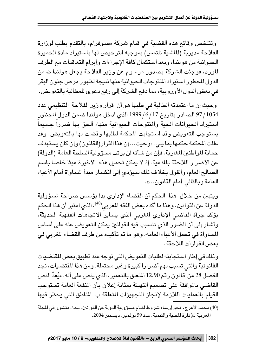وتتلخص وقائع هذه القضية في قيام شركة «صوفرام» بالتقدم بطلب لوزارة الفلاحة مديرية (الماشية تلتمس) بموجبه الترخيص لها باستيراد مادة الخميرة الحيوانية من هولندا، وبعد استكمال كافة الإجراءات وإبرام التعاقدات مع الطرف المورد، فوجئت الشركة بصدور مرسوم عن وزير الفلاحة يجعل هولندا ضمن الدول المحظور استبراد المنتوحات الحبوانية منها نتبجة لظهور مرض حنون البقر في بعض الدول الأوروبية، مما دفع الشركة إلى رفع دعوى للمطالبة بالتعويض.

وحيث إن ما اعتمدته الطالبة في طلبها هو أن قرار وزير الفلاحة التنظيمى عدد 97/1054 الصادر بتاريخ 17/6/17 الذي أدخل هولندا ضمن الدول المحظور استيراد الحيوانات الحية والمنتوجات الحيوانية منها، ألحق بها ضرراً جسيماً يستوجب التعويض وقد استجابت المحكمة لطلبها وقضت لها بالتعويض. وقد عللت المحكمة حكمها بما يلي : «وحيث... إن هذا القرار (القانون) وإن كان يستهدف حماية المواطنين المغاربة، فإن من شأنه أن يرتب مسؤولية السلطة العامة (الدولة) عن الأضرار اللاحقة بالمدعية، إذ لا يمكن تحميل هذه الأخيرة عبئا خاصا باسم الصالح العام، والقول بخلاف ذلك سيؤدى إلى انكسار مبدأ المساواة أمام الأعباء العامة وبالتالي أمام القانون...».

ويتبين من خلال هذا الحكم أن القضاء الإداري بدأ يؤسس صراحة لمسؤولية الدولة عن القوانين، وهذا ما أكده بعض الفقه المغربي<sup>(40)</sup>، الذي اعتبر أن هذا الحكم يؤكد جرأة القاضي الإداري المغربى الذي يساير الاتجاهات الفقهية الحديثة، وأشار إلى أن الضرر الذي تتسبب فيه القوانين يمكن التعويض عنه على أساس المساواة في تحمل الأعباء العامة، وهو ما تم تأكيده من طرف القضاء المغربي في بعض القرارات اللاحقة،

وذلك في إطار استجابته لطلبات التعويض التي توجه عند تطبيق بعض المقتضيات القانونية والتي تسبب لهم أضرارا كبيرة وغير محتملة. ومن هذا المقتضيات، نجد الفصل 28 من قانون رقم 12.90 المتعلق بالتعمير، الذي ينص على أنه: «يُعدّ النص القاضي بالموافقة على تصميم التهيئة بمثابة إعلان بأن المنفعة العامة تستوجب القيام بالعمليات اللازمة لإنجاز التجهيزات المتعلقة ب: المناطق التي يحظر فيها

(40) محمد الأعرج، نحو إرساء شروط لقيام مسؤولية الدولة عن القوانين، بحث منشور في المجلة المغربية للإدارة المحلية والتنمية، عدد 59 نوفمبر ـ ديسمبر 2004.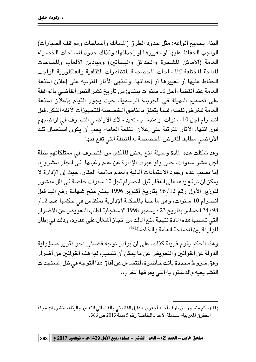البناء بجميع أنواعه؛ مثل حدود الطرق (المسالك والساحات ومواقف السيارات) الواحب الحفاظ عليها أو تغييرها أو إحداثها؛ وكذلك حدود المساحات الخضراء العامة (الأماكن المشجرة والحدائق والبساتين) ومبادين الألعاب والمساحات الماحة المختلفة كالمساحات المخصصة للتظاهرات الثقافية والفلكلورية الواحب الحفاظ عليها أو تغييرها أو إحداثها، وتنتهي الآثار المترتبة على إعلان المنفعة العامة عند انقضاء أجل 10 سنوات يبتدئ من تاريخ نشر النص القاضى بالموافقة على تصميم التهيئة في الجريدة الرسمية، حيث يجوز القيام بإعلان المنفعة العامة للغرض نفسه، فيما يتعلق بالمناطق المحصصة للتجهيزات الآنفة الذكر، قبل انصرام أجل 10 سنوات. وعندما يستعيد ملاك الأراضي التصرف في أراضيهم فور انتهاء الآثار المترتبة على إعلان المنفعة العامة، يجب أن يكون استعمال تلك الأراضي مطابقا للغرض المخصصة له المنطقة التي تقع فيها.

وقد شكلت هذه المادة وسيلة لمنع بعض المالكين من التصرف في ممتلكاتهم طيلة أجل عشر سنوات، حتى ولو عبرت الإدارة عن عدم رغبتها ً في انجاز المشروع، إما يسبب عدم وجود الاعتمادات المالية ولعدم ملائمة العقار، حيث إن الإدارة لا يمكن أن ترفع يدها على العقار قبل انصرام أجل 10 سنوات خاصة في ظل منشور للوزير الأول رقم 12/96 بتاريخ أكتوبر 1996 يمنع منح شهادة رفع اليد قبل انصرام 10 سنوات، وهو ما حدا بالمكمة الإدارية بمكناس في حكمها عدد 12/ 24/98 الصادر بتاريخ 23 ديسمبر 1998 الاستجابة لطلب التعويض عن الأضرار التي تسببها هذه المادة نتيجة منع المالك من انجاز أشغال على عقاره، وذلك في إطار الموازنة بين المصلحة العامة والخاصة (41).

وهذا الحكم يقوم قرينة كذلك، على أن بوادر توجه قضائي نحو تقرير مسؤولية الدولة عن القوانين والتعويض عن ما يمكن أن تتسبب فيه هذه القوانين من أضرار وفق شروط محددة باتت حاضرة، لنتساءل عن آفاق هذا التوجه في ظل المستجدات التشريعية والدستورية التي يعرفها المغرب.

(41) حكم منشور من طرف أحمد أجعون، الدليل القانوني والقضائي للتعمير والبناء، منشورات مجلة الحقوق المغربية، سلسلة الأعداد الخاصة رقم 5 سنة 2013 ص 386.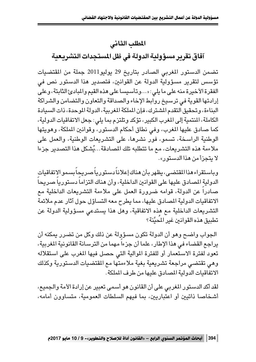## المطلب الثاني آفاق تقرير مسؤولية الدولة فى ظل المستجدات التشريعية

تضمن الدستور المغربي الصادر بتاريخ 29 يوليو2011 جملة من المقتضيات تؤسس لتقرير مسؤولية الدولة عن القوانين، فتصدير هذا الدستور نص في الفقرة الأخيرة منه على ما يلي: «...وتأسيسا على هذه القيم والمبادئ الثابتة، وعلى إرادتها القوية في ترسيخ روابط الإخاء والصداقة والتعاون والتضامن والشراكة البناءة، و تحقيق التقدم المشترك، فإن الملكة المغربية، الدولة الموحدة، ذات السيادة الكاملة، المنتمية إلى المغرب الكبير، تؤكد وتلتزم بما يلي: جعل الاتفاقيات الدولية، كما صادق عليها المغرب، وفي نطاق أحكام الدستور، وقوانين الملكة، وهويتها الوطنية الراسخة، تسمو، فور نشرها، على التشريعات الوطنية، والعمل على ملاءمة هذه التشريعات، مع ما تتطلبه تلك المصادقة...يُشكل هذا التصدير جزءا لا يتجزأ من هذا الدستور».

وباستقراءهذا المقتضى، يظهر بأن هناك إعلاناً دستورياً صريحاً بسمو الاتفاقيات الدولية المصادق عليها على القوانين الداخلية، وأن هناك التزاماً دستورياً صريحاً صادراً عن الدولة، قوامه ضرورة العمل على ملاءمة التشريعات الداخلية مع الاتفاقيات الدولية المصادق عليها، مما يطرح معه التساؤل حول آثار عدم ملائمة التشريعات الداخلية مع هذه الاتفاقية، وهل هذا يستدعى مسؤولية الدولة عن تطبيق هذه القوانين غير المُحيَّنة؟

الجواب واضـح وهو أن الدولة تكون مسؤولة عن ذلك وكل من تضـرر يمكنه أن يراجع القضاء في هذا الإطار، علما أن جزءاً مهما من الترسانة القانونية المغربية، تعود لفترة الاستعمار أو للفترة الموالية التي حصل فيها المغرب على استقلاله وهي تقتضى مراجعة تشريعية بغية ملاءمتها مع المقتضيات الدستورية وكذلك الاتفاقيات الدولية المصادق عليها من طرف الملكة.

لقد أكد الدستور المغربي على أن القانون هو أسمى تعبير عن إرادة الأمة والجميع، أشخاصا ذاتيين أو اعتباريين، بما فيهم السلطات العمومية، متساوون أمامه،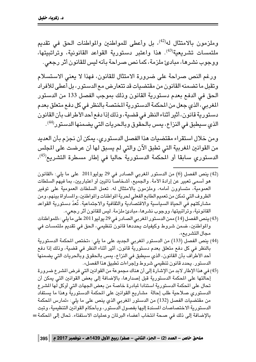وملزمون بالامتثال له<sup>(42)</sup>، بل وأعطى للمواطنين والمواطنات الحق في تقديم ملتمسات تشريعية<sup>(43)</sup>. هذا واعتبر يستورية القواعد القانونية، وتراتيبتها، ووجوب نشرها، مبادئ ملزمة، كما نص صراحة بأنه ليس للقانون أثر رجعي.

ورغم النص صراحة على ضرورة الامتثال للقانون، فهذا لا يعني الاستسلام وتقبل ما تضمنه القانون من مقتضيات قد تتعارض مع الدستور، بل أعطى للأفراد الحق في الدفع بعدم دستورية القانون وذلك بموجب الفصل 133 من الدستور المغربي، الذي جعل من المحكمة الدستورية المختصة بالنظر في كل دفع متعلق بعدم دستورية قانون، أثير أثناء النظر في قضية، وذلك إذا دفع أحد الأطراف بأن القانون الذي سيطبق في النزاع، يمس بالحقوق وبالحريات التي يضمنها الدستور<sup>(44)</sup>.

ومن خلال استقراء مقتضيات هذا الفصل الدستوري، يمكن أن نجزم بأن العديد من القوانين المغربية التي تطبق الآن والتى لم يسبق لها أن عرضت على المجلس الدستوري سابقا أو المكمة الدستورية حاليا في إطار مسطرة التشريع<sup>(45)</sup>،

- (42) ينص الفصل (6) من الدستور المغربي الصادر في 29 يوليو2011 على ما يلي: «القانون هو أسمى تعبير عن إرادة الأمة. والجميع، أشخاصاً ذاتيين أو اعتباريين، بما فيهم السلطات العمومية، متساوون أمامه، وملزمون بالامتثال له. تعمل السلطات العمومية على توفير الظروف التي تمكن من تعميم الطابع الفعلى لحرية المواطنات والمواطنين، والمساواة بينهم، ومن مشاركتهم فَّى الحياة السياسية والاقتصاّدية والثقافية والاجتماعية. تُعدّ دستورية القواعد القانونية، وتراتبيتها، ووجوب نشرها، مبادئ ملزمة. ليس للقانون أثر رجعي».
- (43) ينص الفصل (14) ممن الدستور المغربي الصادر في 29 يوليو 2011 على ما يلي: «للمواطنات والمواطنين، ضمن شروط وكيفيات يحددها قانون تنظيمى، الحق فى تقديم ملتمسات فى مجال التشريع».
- (44) ينص الفصل (133) من الدستور المغربي الجديد على ما يلي: «تختص المكمة الدستورية بالنظر في كل دفع متعلق بعدم دستوريةٌ قانون، أثير أثناء الُّنظر في قضية، وذلك إذا دفع أحد الأطراف بأن القانون، الذي سيطبق في النزاع، يمس بالحقوق وبالحريات التي يضمنها الدستور. يحدد قانون تنظيمى شروط وإجراءات تطبيق هذا الفصل».
- (45) في هذا الإطار لابد من الإشارة إلى أن هناك مجموعة من القوانين التي فرض المشر ع ضرورة إحالتها على المحكمة الدستورية قبل إصدارها، بالإضافة إلى بعض القوانين التي يمكن أن تحال على المكمة الدستورية استنادا لمبادرة خاصة من بعض الجهات التي أوكل لها المشرع الدستوري صلاحية طلب إحالة مشاريع القوانين على المحكمة الدستوريةٌ وهذا ما يستفاد من مقتضيات الفصل (132) من الدستور المغربي الذي ينص على ما يلي: «تمارس المحكمة الدستورية الاختصاصات المسندة إليها بفصول الدستور، وبأحكام القوانين التنظيمية، وتبت بالإضافة إلى ذلك في صحة انتخاب أعضاء البرلمان وعمليات الاستفتاء. تحال إلى المحكمة =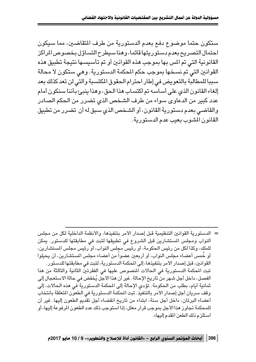ستكون حتما موضوع دفع بعدم الدستورية من طرف التقاضين، مما سبكون احتمال التصريح بعدم دستو ربتها قائما، و هنا سيطرح التساؤل بخصوص المراكز القانونية التي تم المس بها بموجب هذه القوانين أو تم تأسيسها نتيجة تطبيق هذه القوانين التي تم نسخها بموجب حكم المحكمة الدستورية . وهي ستكون لا محالة سببا للمطالبة بالتعويض في إطار احترام الحقوق المكتسبة والتي لن تعد كذلك بعد إلغاء القانون الذي على أساسه تم اكتساب هذا الحق، وهذا ينبيع بأننا سنكون أمام عدد كبير من الدعاوى سواء من طرف الشخص الذي تضرر من الحكم الصادر والقاضي بعدم دستورية القانون، أو الشخص الذي سبق له أن تضرر من تطبيق القانون المشوب بعيب عدم الدستورية.

= الدستورية القوانين التنظيمية قبل إصدار الأمر بتنفيذها، والأنظمة الداخلية لكل من مجلس النواب ومجلس المستشارين قبل الشروع في تطبيقها لتبت في مطابقتها للدستور. يمكن للملك، وكذا لكل من رئيس الحكومة، أو رئيس مجلس النواب، أو رئيس مجلس المستشارين، أو خُمس أعضاء مجلس النواب، أو أربعين عضواً من أعضاء مجلس المستشارين، أن يحيلوا القوانين، قبل إصدار الأمر بتنفيذها، إلى المحكمة الدستورية، لتبت في مطابقتها للدستور . تبت المكمة الدستورية في الحالات المنصوص عليها في الفقرتين الثانية والثالثة من هذا الفصل، داخل أجل شـهر من تاريخ الإحالة . غير أن هذا الأجل يُخفض في حالة الاستعجال إلى ثمانية أيام، بطلب من الحكومة. تؤدى الإحالة إلى المحكمة الدستورية ّفى هذه الحالات، إلى وقف سريان أجل إصدار الأمر بالتنفيذ. تبت المكمة الدستورية في الطعون المتعلقة بانتخاب أعضاء البرلمان، داخل أجل سنة، ابتداء من تاريخ انقضاء أجل تقديم الطعون إليها. غير أن للمحكمة تجاوز هذا الأجل بموجب قرار معلل، إذا استوجب ذلك عدد الطعون المرفوعة إليها، أو استلزم ذلك الطعن المقدم إليها».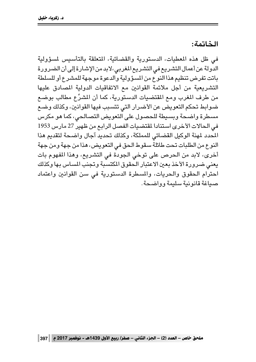#### الخاتمة:

في ظل هذه المعطيات، الدستورية والقضائية، المتعلقة بالتأسيس لمسؤولية الدولة عن أعمال التشريع في التشريع المغربي، لابد من الإشارة إلى أن الضرورة باتت تفرض تنظيم هذا النوع من المسؤولية والدعوة موجهة للمشرع أو للسلطة التشريعية من أجل ملائمة القوانين مع الاتفاقيات الدولية المصادق عليها من طرف المغرب ومع المقتضيات الدستورية، كما أن المشرِّع مطالب بوضع ضوابط تحكم التعويض عن الأضرار التي تتسبب فيها القوانين، وكذلك وضع مسطرة واضحة وبسيطة للحصول على التعويض التصالحي، كما هو مكرس في الحالات الأخرى استنادا لمقتضيات الفصل الرابع من ظهير 27 مارس 1953 المحدد لمهنة الوكيل القضائي للمملكة، وكذلك تحديد آجال واضحة لتقديم هذا النوع من الطلبات تحت طائلة سقوط الحق في التعويض، هذا من جهة ومن جهة أخرى، لابد من الحرص على توخي الجودة في التشريع، وهذا المفهوم بات يعني ضرورة الأخذ بعين الاعتبار الحقوق المكتسبة وتجنب المساس بها وكذلك احترام الحقوق والحريات، والمسطرة الدستورية في سن القوانين واعتماد صيباغة قانو نية سليمة وواضحة .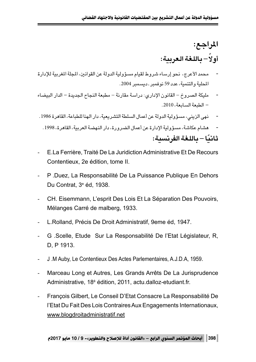# **∫l«d\*«** أ**ولاُ – باللغة العربية:**

- محمد الأعرج، نحو إرساء شروط لقيام مسؤولية الدولة عن القوانين، المجلة المغربية للإدارة المحلية والتنمية، عدد 59 نوفمبر . ديسمبر 2004.
- مليكة الصروخ القانون الإداري: دراسة مقارنة مطبعة النجاح الجديدة الدار البيضاء  $-1010$ . الطبعة السابعة
- Æ1986 …dUI« ¨WUDK UMN« —«œ ¨WOFdA« WDK « ‰UL√ s WËb« WOËR ¨wMe« vN
	- هشام عكاشة، مسؤولية الإدارة عن أعمال الضرورة، دار النهضة العربية، القاهرة، 1998. **∫WO dH« WGKU ≠ UOÎU**
- E.La Ferrière, Traité De La Juridiction Administrative Et De Recours Contentieux, 2e édition, tome II.
- P .Duez, La Responsabilité De La Puissance Publique En Dehors Du Contrat, 3e éd, 1938.
- CH. Eisemmann, L'esprit Des Lois Et La Séparation Des Pouvoirs, Mélanges Carré de malberg, 1933.
- L.Rolland, Précis De Droit Administratif, 9eme éd, 1947.
- G .Scelle, Etude Sur La Responsabilité De l'Etat Législateur, R, D, P 1913.
- J .M Auby, Le Contentieux Des Actes Parlementaires, A.J.D.A, 1959.
- Marceau Long et Autres, Les Grands Arrêts De La Jurisprudence Administrative, 18<sup>è</sup> édition, 2011, actu.dalloz-etudiant.fr.
- François Gilbert, Le Conseil D'Etat Consacre La Responsabilité De l'Etat Du Fait Des Lois Contraires Aux Engagements Internationaux, www.blogdroitadministratif.net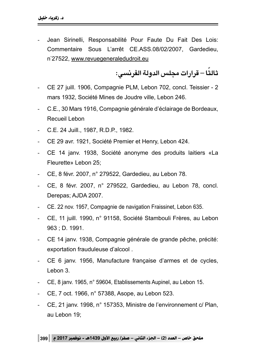Jean Sirinelli, Responsabilité Pour Faute Du Fait Des Lois: Commentaire Sous L'arrêt CE.ASS.08/02/2007, Gardedieu, n°27522, <u>www.revuegeneraledudroit.eu</u>

**∫w dH« WËb« fKÈ«—«d ≠ UÎ U**

- CE 27 juill. 1906, Compagnie PLM, Lebon 702, concl. Teissier 2 mars 1932, Société Mines de Joudre ville, Lebon 246.
- C.E., 30 Mars 1916, Compagnie générale d'éclairage de Bordeaux, Recueil Lebon
- C.E. 24 Juill., 1987, R.D.P., 1982.
- CE 29 avr. 1921, Société Premier et Henry, Lebon 424.
- CE 14 janv. 1938, Société anonyme des produits laitiers «La Fleurette» Lebon 25;
- CE, 8 févr. 2007, n° 279522, Gardedieu, au Lebon 78.
- CE, 8 févr. 2007, n° 279522, Gardedieu, au Lebon 78, concl. Derepas; AJDA 2007.
- CE. 22 nov. 1957, Compagnie de navigation Fraissinet, Lebon 635.
- CE, 11 juill. 1990, n° 91158, Société Stambouli Frères, au Lebon 963 ; D. 1991.
- CE 14 janv. 1938, Compagnie générale de grande pêche, précité: exportation frauduleuse d'alcool .
- CE 6 janv. 1956, Manufacture française d'armes et de cycles, Lebon 3.
- CE, 8 janv. 1965, n° 59604, Etablissements Aupinel, au Lebon 15.
- CE, 7 oct. 1966, n° 57388, Asope, au Lebon 523.
- CE, 21 janv. 1998, n° 157353, Ministre de l'environnement c/ Plan, au Lebon 19;

ملحق خاص – العدد (2) – الجزء الثاني – صفر/ ربيع الأول 1439هـ - نوفمبر 2017 م 399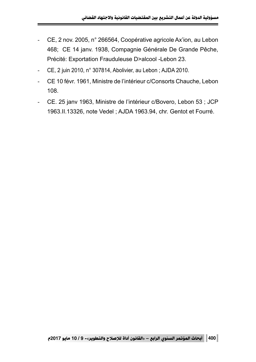- CE, 2 nov. 2005, n° 266564, Coopérative agricole Ax'ion, au Lebon 468; CE 14 janv. 1938, Compagnie Générale De Grande Pêche, Précité: Exportation Frauduleuse D>alcool -Lebon 23.
- CE, 2 juin 2010, n° 307814, Abolivier, au Lebon ; AJDA 2010.
- CE 10 févr. 1961, Ministre de l'intérieur c/Consorts Chauche, Lebon 108.
- CE. 25 janv 1963, Ministre de l'intérieur c/Bovero, Lebon 53 ; JCP 1963.II.13326, note Vedel ; AJDA 1963.94, chr. Gentot et Fourré.